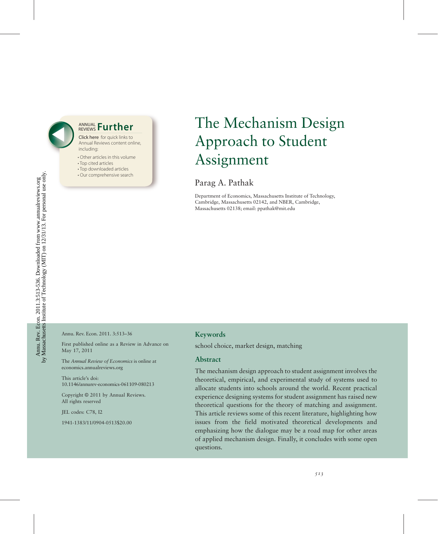### **ANNUAL Further**

Click here for quick links to Annual Reviews content online, including:

- Other articles in this volume
- Top cited articles
- Top downloaded articles
- Our comprehensive search

## The Mechanism Design Approach to Student Assignment

### Parag A. Pathak

Department of Economics, Massachusetts Institute of Technology, Cambridge, Massachusetts 02142, and NBER, Cambridge, Massachusetts 02138; email: ppathak@mit.edu

Annu. Rev. Econ. 2011. 3:513–36

First published online as a Review in Advance on May 17, 2011

The Annual Review of Economics is online at economics.annualreviews.org

This article's doi: 10.1146/annurev-economics-061109-080213

Copyright © 2011 by Annual Reviews. All rights reserved

JEL codes: C78, I2

1941-1383/11/0904-0513\$20.00

#### Keywords

school choice, market design, matching

#### Abstract

The mechanism design approach to student assignment involves the theoretical, empirical, and experimental study of systems used to allocate students into schools around the world. Recent practical experience designing systems for student assignment has raised new theoretical questions for the theory of matching and assignment. This article reviews some of this recent literature, highlighting how issues from the field motivated theoretical developments and emphasizing how the dialogue may be a road map for other areas of applied mechanism design. Finally, it concludes with some open questions.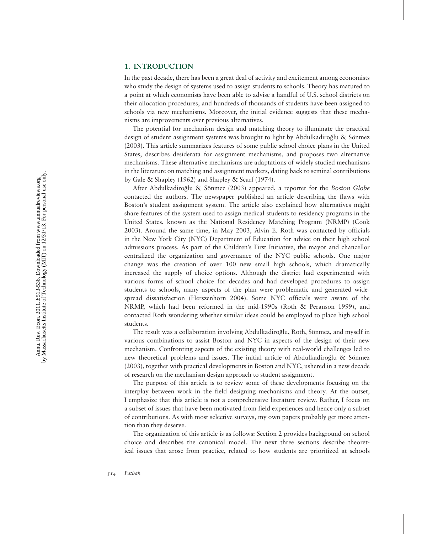#### 1. INTRODUCTION

In the past decade, there has been a great deal of activity and excitement among economists who study the design of systems used to assign students to schools. Theory has matured to a point at which economists have been able to advise a handful of U.S. school districts on their allocation procedures, and hundreds of thousands of students have been assigned to schools via new mechanisms. Moreover, the initial evidence suggests that these mechanisms are improvements over previous alternatives.

The potential for mechanism design and matching theory to illuminate the practical design of student assignment systems was brought to light by Abdulkadiroğlu & Sönmez (2003). This article summarizes features of some public school choice plans in the United States, describes desiderata for assignment mechanisms, and proposes two alternative mechanisms. These alternative mechanisms are adaptations of widely studied mechanisms in the literature on matching and assignment markets, dating back to seminal contributions by Gale & Shapley (1962) and Shapley & Scarf (1974).

After Abdulkadiroğlu & Sönmez (2003) appeared, a reporter for the Boston Globe contacted the authors. The newspaper published an article describing the flaws with Boston's student assignment system. The article also explained how alternatives might share features of the system used to assign medical students to residency programs in the United States, known as the National Residency Matching Program (NRMP) (Cook 2003). Around the same time, in May 2003, Alvin E. Roth was contacted by officials in the New York City (NYC) Department of Education for advice on their high school admissions process. As part of the Children's First Initiative, the mayor and chancellor centralized the organization and governance of the NYC public schools. One major change was the creation of over 100 new small high schools, which dramatically increased the supply of choice options. Although the district had experimented with various forms of school choice for decades and had developed procedures to assign students to schools, many aspects of the plan were problematic and generated widespread dissatisfaction (Herszenhorn 2004). Some NYC officials were aware of the NRMP, which had been reformed in the mid-1990s (Roth & Peranson 1999), and contacted Roth wondering whether similar ideas could be employed to place high school students.

The result was a collaboration involving Abdulkadiroğlu, Roth, Sönmez, and myself in various combinations to assist Boston and NYC in aspects of the design of their new mechanism. Confronting aspects of the existing theory with real-world challenges led to new theoretical problems and issues. The initial article of Abdulkadiroğlu & Sönmez (2003), together with practical developments in Boston and NYC, ushered in a new decade of research on the mechanism design approach to student assignment.

The purpose of this article is to review some of these developments focusing on the interplay between work in the field designing mechanisms and theory. At the outset, I emphasize that this article is not a comprehensive literature review. Rather, I focus on a subset of issues that have been motivated from field experiences and hence only a subset of contributions. As with most selective surveys, my own papers probably get more attention than they deserve.

The organization of this article is as follows: Section 2 provides background on school choice and describes the canonical model. The next three sections describe theoretical issues that arose from practice, related to how students are prioritized at schools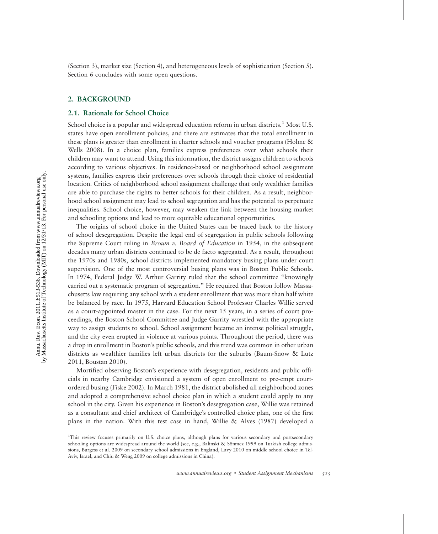(Section 3), market size (Section 4), and heterogeneous levels of sophistication (Section 5). Section 6 concludes with some open questions.

#### 2. BACKGROUND

#### 2.1. Rationale for School Choice

School choice is a popular and widespread education reform in urban districts.<sup>1</sup> Most U.S. states have open enrollment policies, and there are estimates that the total enrollment in these plans is greater than enrollment in charter schools and voucher programs (Holme & Wells 2008). In a choice plan, families express preferences over what schools their children may want to attend. Using this information, the district assigns children to schools according to various objectives. In residence-based or neighborhood school assignment systems, families express their preferences over schools through their choice of residential location. Critics of neighborhood school assignment challenge that only wealthier families are able to purchase the rights to better schools for their children. As a result, neighborhood school assignment may lead to school segregation and has the potential to perpetuate inequalities. School choice, however, may weaken the link between the housing market and schooling options and lead to more equitable educational opportunities.

The origins of school choice in the United States can be traced back to the history of school desegregation. Despite the legal end of segregation in public schools following the Supreme Court ruling in *Brown v. Board of Education* in 1954, in the subsequent decades many urban districts continued to be de facto segregated. As a result, throughout the 1970s and 1980s, school districts implemented mandatory busing plans under court supervision. One of the most controversial busing plans was in Boston Public Schools. In 1974, Federal Judge W. Arthur Garrity ruled that the school committee "knowingly carried out a systematic program of segregation." He required that Boston follow Massachusetts law requiring any school with a student enrollment that was more than half white be balanced by race. In 1975, Harvard Education School Professor Charles Willie served as a court-appointed master in the case. For the next 15 years, in a series of court proceedings, the Boston School Committee and Judge Garrity wrestled with the appropriate way to assign students to school. School assignment became an intense political struggle, and the city even erupted in violence at various points. Throughout the period, there was a drop in enrollment in Boston's public schools, and this trend was common in other urban districts as wealthier families left urban districts for the suburbs (Baum-Snow & Lutz 2011, Boustan 2010).

Mortified observing Boston's experience with desegregation, residents and public officials in nearby Cambridge envisioned a system of open enrollment to pre-empt courtordered busing (Fiske 2002). In March 1981, the district abolished all neighborhood zones and adopted a comprehensive school choice plan in which a student could apply to any school in the city. Given his experience in Boston's desegregation case, Willie was retained as a consultant and chief architect of Cambridge's controlled choice plan, one of the first plans in the nation. With this test case in hand, Willie & Alves (1987) developed a

<sup>&</sup>lt;sup>1</sup>This review focuses primarily on U.S. choice plans, although plans for various secondary and postsecondary schooling options are widespread around the world (see, e.g., Balinski & Sönmez 1999 on Turkish college admissions, Burgess et al. 2009 on secondary school admissions in England, Lavy 2010 on middle school choice in Tel-Aviv, Israel, and Chiu & Weng 2009 on college admissions in China).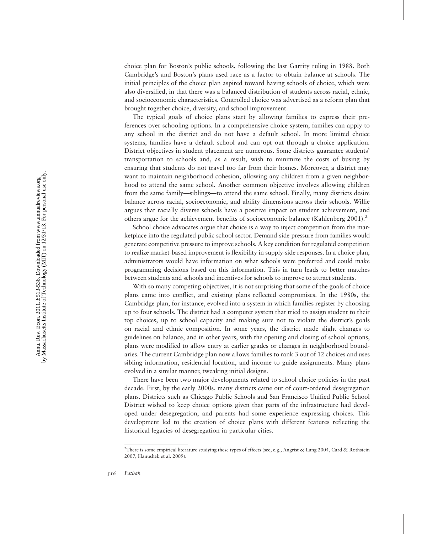choice plan for Boston's public schools, following the last Garrity ruling in 1988. Both Cambridge's and Boston's plans used race as a factor to obtain balance at schools. The initial principles of the choice plan aspired toward having schools of choice, which were also diversified, in that there was a balanced distribution of students across racial, ethnic, and socioeconomic characteristics. Controlled choice was advertised as a reform plan that brought together choice, diversity, and school improvement.

The typical goals of choice plans start by allowing families to express their preferences over schooling options. In a comprehensive choice system, families can apply to any school in the district and do not have a default school. In more limited choice systems, families have a default school and can opt out through a choice application. District objectives in student placement are numerous. Some districts guarantee students' transportation to schools and, as a result, wish to minimize the costs of busing by ensuring that students do not travel too far from their homes. Moreover, a district may want to maintain neighborhood cohesion, allowing any children from a given neighborhood to attend the same school. Another common objective involves allowing children from the same family—siblings—to attend the same school. Finally, many districts desire balance across racial, socioeconomic, and ability dimensions across their schools. Willie argues that racially diverse schools have a positive impact on student achievement, and others argue for the achievement benefits of socioeconomic balance (Kahlenberg 2001).<sup>2</sup>

School choice advocates argue that choice is a way to inject competition from the marketplace into the regulated public school sector. Demand-side pressure from families would generate competitive pressure to improve schools. A key condition for regulated competition to realize market-based improvement is flexibility in supply-side responses. In a choice plan, administrators would have information on what schools were preferred and could make programming decisions based on this information. This in turn leads to better matches between students and schools and incentives for schools to improve to attract students.

With so many competing objectives, it is not surprising that some of the goals of choice plans came into conflict, and existing plans reflected compromises. In the 1980s, the Cambridge plan, for instance, evolved into a system in which families register by choosing up to four schools. The district had a computer system that tried to assign student to their top choices, up to school capacity and making sure not to violate the district's goals on racial and ethnic composition. In some years, the district made slight changes to guidelines on balance, and in other years, with the opening and closing of school options, plans were modified to allow entry at earlier grades or changes in neighborhood boundaries. The current Cambridge plan now allows families to rank 3 out of 12 choices and uses sibling information, residential location, and income to guide assignments. Many plans evolved in a similar manner, tweaking initial designs.

There have been two major developments related to school choice policies in the past decade. First, by the early 2000s, many districts came out of court-ordered desegregation plans. Districts such as Chicago Public Schools and San Francisco Unified Public School District wished to keep choice options given that parts of the infrastructure had developed under desegregation, and parents had some experience expressing choices. This development led to the creation of choice plans with different features reflecting the historical legacies of desegregation in particular cities.

<sup>2</sup> There is some empirical literature studying these types of effects (see, e.g., Angrist & Lang 2004, Card & Rothstein 2007, Hanushek et al. 2009).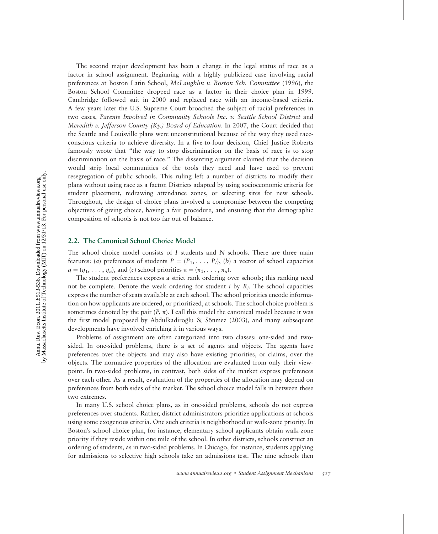Annu. Rev. Econ. 2011.3:513-536. Downloaded from www.annualreviews.org<br>Massachusetts Institute of Technology (MIT) on 12/31/13. For personal use only. by Massachusetts Institute of Technology (MIT) on 12/31/13. For personal use only.Annu. Rev. Econ. 2011.3:513-536. Downloaded from www.annualreviews.org

 $\mathbf{S}$ 

The second major development has been a change in the legal status of race as a factor in school assignment. Beginning with a highly publicized case involving racial preferences at Boston Latin School, McLaughlin v. Boston Sch. Committee (1996), the Boston School Committee dropped race as a factor in their choice plan in 1999. Cambridge followed suit in 2000 and replaced race with an income-based criteria. A few years later the U.S. Supreme Court broached the subject of racial preferences in two cases, Parents Involved in Community Schools Inc. v. Seattle School District and Meredith v. Jefferson County (Ky.) Board of Education. In 2007, the Court decided that the Seattle and Louisville plans were unconstitutional because of the way they used raceconscious criteria to achieve diversity. In a five-to-four decision, Chief Justice Roberts famously wrote that "the way to stop discrimination on the basis of race is to stop discrimination on the basis of race." The dissenting argument claimed that the decision would strip local communities of the tools they need and have used to prevent resegregation of public schools. This ruling left a number of districts to modify their plans without using race as a factor. Districts adapted by using socioeconomic criteria for student placement, redrawing attendance zones, or selecting sites for new schools. Throughout, the design of choice plans involved a compromise between the competing objectives of giving choice, having a fair procedure, and ensuring that the demographic composition of schools is not too far out of balance.

#### 2.2. The Canonical School Choice Model

The school choice model consists of  $I$  students and  $N$  schools. There are three main features: (a) preferences of students  $P = (P_1, \ldots, P_l)$ , (b) a vector of school capacities  $q = (q_1, \ldots, q_n)$ , and (c) school priorities  $\pi = (\pi_1, \ldots, \pi_n)$ .

The student preferences express a strict rank ordering over schools; this ranking need not be complete. Denote the weak ordering for student  $i$  by  $R_i$ . The school capacities express the number of seats available at each school. The school priorities encode information on how applicants are ordered, or prioritized, at schools. The school choice problem is sometimes denoted by the pair  $(P, \pi)$ . I call this model the canonical model because it was the first model proposed by Abdulkadiroğlu & Sönmez (2003), and many subsequent developments have involved enriching it in various ways.

Problems of assignment are often categorized into two classes: one-sided and twosided. In one-sided problems, there is a set of agents and objects. The agents have preferences over the objects and may also have existing priorities, or claims, over the objects. The normative properties of the allocation are evaluated from only their viewpoint. In two-sided problems, in contrast, both sides of the market express preferences over each other. As a result, evaluation of the properties of the allocation may depend on preferences from both sides of the market. The school choice model falls in between these two extremes.

In many U.S. school choice plans, as in one-sided problems, schools do not express preferences over students. Rather, district administrators prioritize applications at schools using some exogenous criteria. One such criteria is neighborhood or walk-zone priority. In Boston's school choice plan, for instance, elementary school applicants obtain walk-zone priority if they reside within one mile of the school. In other districts, schools construct an ordering of students, as in two-sided problems. In Chicago, for instance, students applying for admissions to selective high schools take an admissions test. The nine schools then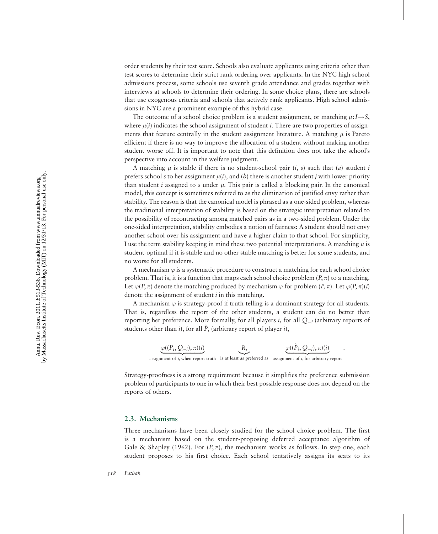order students by their test score. Schools also evaluate applicants using criteria other than test scores to determine their strict rank ordering over applicants. In the NYC high school admissions process, some schools use seventh grade attendance and grades together with interviews at schools to determine their ordering. In some choice plans, there are schools that use exogenous criteria and schools that actively rank applicants. High school admissions in NYC are a prominent example of this hybrid case.

The outcome of a school choice problem is a student assignment, or matching  $\mu: I \rightarrow S$ , where  $\mu(i)$  indicates the school assignment of student i. There are two properties of assignments that feature centrally in the student assignment literature. A matching  $\mu$  is Pareto efficient if there is no way to improve the allocation of a student without making another student worse off. It is important to note that this definition does not take the school's perspective into account in the welfare judgment.

A matching  $\mu$  is stable if there is no student-school pair  $(i, s)$  such that  $(a)$  student is prefers school s to her assignment  $\mu(i)$ , and (b) there is another student j with lower priority than student i assigned to s under  $\mu$ . This pair is called a blocking pair. In the canonical model, this concept is sometimes referred to as the elimination of justified envy rather than stability. The reason is that the canonical model is phrased as a one-sided problem, whereas the traditional interpretation of stability is based on the strategic interpretation related to the possibility of recontracting among matched pairs as in a two-sided problem. Under the one-sided interpretation, stability embodies a notion of fairness: A student should not envy another school over his assignment and have a higher claim to that school. For simplicity, I use the term stability keeping in mind these two potential interpretations. A matching  $\mu$  is student-optimal if it is stable and no other stable matching is better for some students, and no worse for all students.

A mechanism  $\varphi$  is a systematic procedure to construct a matching for each school choice problem. That is, it is a function that maps each school choice problem  $(P, \pi)$  to a matching. Let  $\varphi(P, \pi)$  denote the matching produced by mechanism  $\varphi$  for problem  $(P, \pi)$ . Let  $\varphi(P, \pi)(i)$ denote the assignment of student  $i$  in this matching.

A mechanism  $\varphi$  is strategy-proof if truth-telling is a dominant strategy for all students. That is, regardless the report of the other students, a student can do no better than reporting her preference. More formally, for all players *i*, for all  $Q_{-i}$  (arbitrary reports of students other than i), for all  $\hat{P}_i$  (arbitrary report of player i),



Strategy-proofness is a strong requirement because it simplifies the preference submission problem of participants to one in which their best possible response does not depend on the reports of others.

#### 2.3. Mechanisms

Three mechanisms have been closely studied for the school choice problem. The first is a mechanism based on the student-proposing deferred acceptance algorithm of Gale & Shapley (1962). For  $(P, \pi)$ , the mechanism works as follows. In step one, each student proposes to his first choice. Each school tentatively assigns its seats to its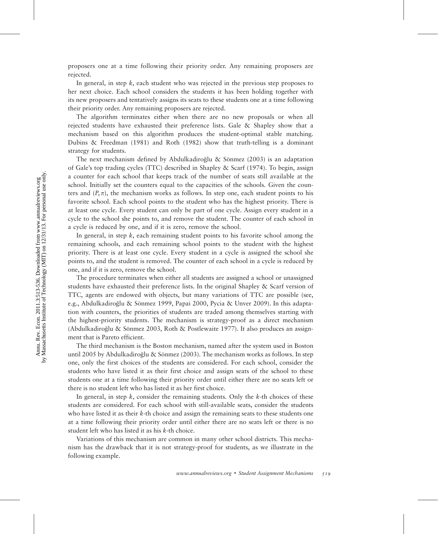proposers one at a time following their priority order. Any remaining proposers are rejected.

In general, in step  $k$ , each student who was rejected in the previous step proposes to her next choice. Each school considers the students it has been holding together with its new proposers and tentatively assigns its seats to these students one at a time following their priority order. Any remaining proposers are rejected.

The algorithm terminates either when there are no new proposals or when all rejected students have exhausted their preference lists. Gale & Shapley show that a mechanism based on this algorithm produces the student-optimal stable matching. Dubins & Freedman (1981) and Roth (1982) show that truth-telling is a dominant strategy for students.

The next mechanism defined by Abdulkadiroğlu & Sönmez (2003) is an adaptation of Gale's top trading cycles (TTC) described in Shapley & Scarf (1974). To begin, assign a counter for each school that keeps track of the number of seats still available at the school. Initially set the counters equal to the capacities of the schools. Given the counters and  $(P, \pi)$ , the mechanism works as follows. In step one, each student points to his favorite school. Each school points to the student who has the highest priority. There is at least one cycle. Every student can only be part of one cycle. Assign every student in a cycle to the school she points to, and remove the student. The counter of each school in a cycle is reduced by one, and if it is zero, remove the school.

In general, in step  $k$ , each remaining student points to his favorite school among the remaining schools, and each remaining school points to the student with the highest priority. There is at least one cycle. Every student in a cycle is assigned the school she points to, and the student is removed. The counter of each school in a cycle is reduced by one, and if it is zero, remove the school.

The procedure terminates when either all students are assigned a school or unassigned students have exhausted their preference lists. In the original Shapley & Scarf version of TTC, agents are endowed with objects, but many variations of TTC are possible (see, e.g., Abdulkadiroğlu & Sönmez 1999, Papai 2000, Pycia & Unver 2009). In this adaptation with counters, the priorities of students are traded among themselves starting with the highest-priority students. The mechanism is strategy-proof as a direct mechanism (Abdulkadiroğlu & Sönmez 2003, Roth & Postlewaite 1977). It also produces an assignment that is Pareto efficient.

The third mechanism is the Boston mechanism, named after the system used in Boston until 2005 by Abdulkadiroğlu & Sönmez (2003). The mechanism works as follows. In step one, only the first choices of the students are considered. For each school, consider the students who have listed it as their first choice and assign seats of the school to these students one at a time following their priority order until either there are no seats left or there is no student left who has listed it as her first choice.

In general, in step  $k$ , consider the remaining students. Only the  $k$ -th choices of these students are considered. For each school with still-available seats, consider the students who have listed it as their k-th choice and assign the remaining seats to these students one at a time following their priority order until either there are no seats left or there is no student left who has listed it as his k-th choice.

Variations of this mechanism are common in many other school districts. This mechanism has the drawback that it is not strategy-proof for students, as we illustrate in the following example.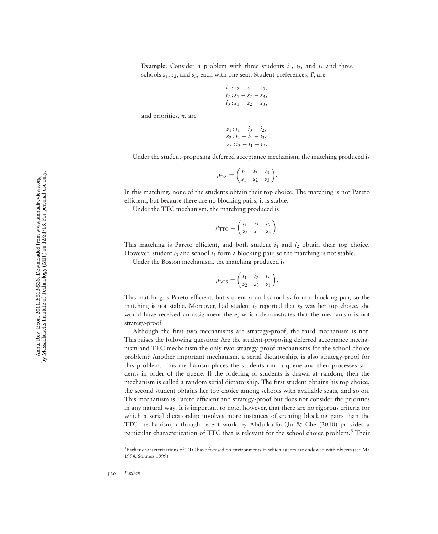**Example:** Consider a problem with three students  $i_1$ ,  $i_2$ , and  $i_3$  and three schools  $s_1$ ,  $s_2$ , and  $s_3$ , each with one seat. Student preferences, P, are

> $i_1$  :  $s_2$  –  $s_1$  –  $s_3$ ,  $i_2$ :  $s_1$  –  $s_2$  –  $s_3$ ,  $i_3$ :  $s_1$  –  $s_2$  –  $s_3$ ,

and priorities,  $\pi$ , are

$$
s_1 : i_1 - i_3 - i_2,
$$
  
\n
$$
s_2 : i_2 - i_1 - i_3,
$$
  
\n
$$
s_3 : i_3 - i_1 - i_2.
$$

Under the student-proposing deferred acceptance mechanism, the matching produced is

$$
\mu_{\text{DA}} = \begin{pmatrix} i_1 & i_2 & i_3 \\ s_1 & s_2 & s_3 \end{pmatrix}.
$$

In this matching, none of the students obtain their top choice. The matching is not Pareto efficient, but because there are no blocking pairs, it is stable.

Under the TTC mechanism, the matching produced is

$$
\mu_{\text{TTC}} = \begin{pmatrix} i_1 & i_2 & i_3 \\ s_2 & s_1 & s_3 \end{pmatrix}.
$$

This matching is Pareto efficient, and both student  $i_1$  and  $i_2$  obtain their top choice. However, student  $i_3$  and school  $s_1$  form a blocking pair, so the matching is not stable.

Under the Boston mechanism, the matching produced is

$$
\mu_{\text{BOS}} = \begin{pmatrix} i_1 & i_2 & i_3 \\ s_2 & s_3 & s_1 \end{pmatrix}.
$$

This matching is Pareto efficient, but student  $i_2$  and school  $s_2$  form a blocking pair, so the matching is not stable. Moreover, had student  $i_2$  reported that  $s_2$  was her top choice, she would have received an assignment there, which demonstrates that the mechanism is not strategy-proof.

Although the first two mechanisms are strategy-proof, the third mechanism is not. This raises the following question: Are the student-proposing deferred acceptance mechanism and TTC mechanism the only two strategy-proof mechanisms for the school choice problem? Another important mechanism, a serial dictatorship, is also strategy-proof for this problem. This mechanism places the students into a queue and then processes students in order of the queue. If the ordering of students is drawn at random, then the mechanism is called a random serial dictatorship. The first student obtains his top choice, the second student obtains her top choice among schools with available seats, and so on. This mechanism is Pareto efficient and strategy-proof but does not consider the priorities in any natural way. It is important to note, however, that there are no rigorous criteria for which a serial dictatorship involves more instances of creating blocking pairs than the TTC mechanism, although recent work by Abdulkadiroğlu & Che (2010) provides a particular characterization of TTC that is relevant for the school choice problem.<sup>3</sup> Their

<sup>3</sup> Earlier characterizations of TTC have focused on environments in which agents are endowed with objects (see Ma 1994, Sönmez 1999).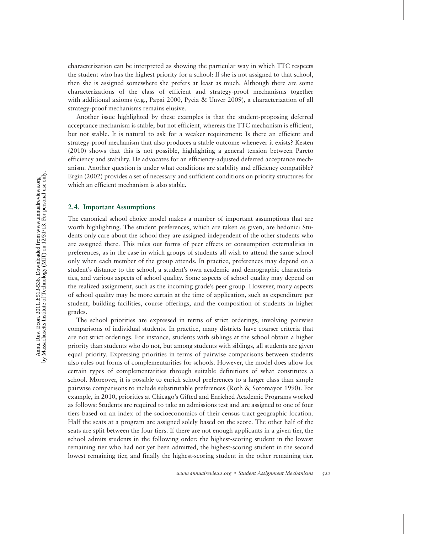characterization can be interpreted as showing the particular way in which TTC respects the student who has the highest priority for a school: If she is not assigned to that school, then she is assigned somewhere she prefers at least as much. Although there are some characterizations of the class of efficient and strategy-proof mechanisms together with additional axioms (e.g., Papai 2000, Pycia & Unver 2009), a characterization of all strategy-proof mechanisms remains elusive.

Another issue highlighted by these examples is that the student-proposing deferred acceptance mechanism is stable, but not efficient, whereas the TTC mechanism is efficient, but not stable. It is natural to ask for a weaker requirement: Is there an efficient and strategy-proof mechanism that also produces a stable outcome whenever it exists? Kesten (2010) shows that this is not possible, highlighting a general tension between Pareto efficiency and stability. He advocates for an efficiency-adjusted deferred acceptance mechanism. Another question is under what conditions are stability and efficiency compatible? Ergin (2002) provides a set of necessary and sufficient conditions on priority structures for which an efficient mechanism is also stable.

#### 2.4. Important Assumptions

The canonical school choice model makes a number of important assumptions that are worth highlighting. The student preferences, which are taken as given, are hedonic: Students only care about the school they are assigned independent of the other students who are assigned there. This rules out forms of peer effects or consumption externalities in preferences, as in the case in which groups of students all wish to attend the same school only when each member of the group attends. In practice, preferences may depend on a student's distance to the school, a student's own academic and demographic characteristics, and various aspects of school quality. Some aspects of school quality may depend on the realized assignment, such as the incoming grade's peer group. However, many aspects of school quality may be more certain at the time of application, such as expenditure per student, building facilities, course offerings, and the composition of students in higher grades.

The school priorities are expressed in terms of strict orderings, involving pairwise comparisons of individual students. In practice, many districts have coarser criteria that are not strict orderings. For instance, students with siblings at the school obtain a higher priority than students who do not, but among students with siblings, all students are given equal priority. Expressing priorities in terms of pairwise comparisons between students also rules out forms of complementarities for schools. However, the model does allow for certain types of complementarities through suitable definitions of what constitutes a school. Moreover, it is possible to enrich school preferences to a larger class than simple pairwise comparisons to include substitutable preferences (Roth & Sotomayor 1990). For example, in 2010, priorities at Chicago's Gifted and Enriched Academic Programs worked as follows: Students are required to take an admissions test and are assigned to one of four tiers based on an index of the socioeconomics of their census tract geographic location. Half the seats at a program are assigned solely based on the score. The other half of the seats are split between the four tiers. If there are not enough applicants in a given tier, the school admits students in the following order: the highest-scoring student in the lowest remaining tier who had not yet been admitted, the highest-scoring student in the second lowest remaining tier, and finally the highest-scoring student in the other remaining tier.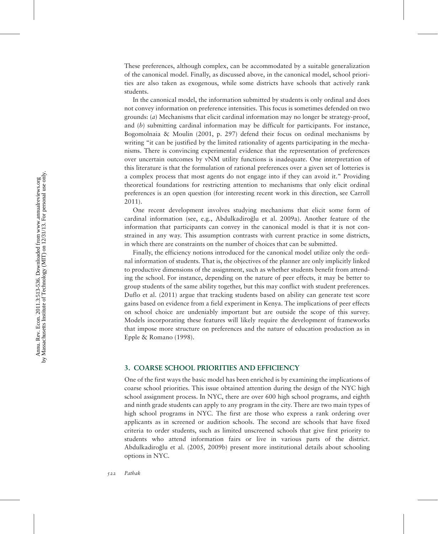These preferences, although complex, can be accommodated by a suitable generalization of the canonical model. Finally, as discussed above, in the canonical model, school priorities are also taken as exogenous, while some districts have schools that actively rank students.

In the canonical model, the information submitted by students is only ordinal and does not convey information on preference intensities. This focus is sometimes defended on two grounds: (a) Mechanisms that elicit cardinal information may no longer be strategy-proof, and (b) submitting cardinal information may be difficult for participants. For instance, Bogomolnaia & Moulin (2001, p. 297) defend their focus on ordinal mechanisms by writing "it can be justified by the limited rationality of agents participating in the mechanisms. There is convincing experimental evidence that the representation of preferences over uncertain outcomes by vNM utility functions is inadequate. One interpretation of this literature is that the formulation of rational preferences over a given set of lotteries is a complex process that most agents do not engage into if they can avoid it." Providing theoretical foundations for restricting attention to mechanisms that only elicit ordinal preferences is an open question (for interesting recent work in this direction, see Carroll 2011).

One recent development involves studying mechanisms that elicit some form of cardinal information (see, e.g., Abdulkadiroğlu et al. 2009a). Another feature of the information that participants can convey in the canonical model is that it is not constrained in any way. This assumption contrasts with current practice in some districts, in which there are constraints on the number of choices that can be submitted.

Finally, the efficiency notions introduced for the canonical model utilize only the ordinal information of students. That is, the objectives of the planner are only implicitly linked to productive dimensions of the assignment, such as whether students benefit from attending the school. For instance, depending on the nature of peer effects, it may be better to group students of the same ability together, but this may conflict with student preferences. Duflo et al. (2011) argue that tracking students based on ability can generate test score gains based on evidence from a field experiment in Kenya. The implications of peer effects on school choice are undeniably important but are outside the scope of this survey. Models incorporating these features will likely require the development of frameworks that impose more structure on preferences and the nature of education production as in Epple & Romano (1998).

#### 3. COARSE SCHOOL PRIORITIES AND EFFICIENCY

One of the first ways the basic model has been enriched is by examining the implications of coarse school priorities. This issue obtained attention during the design of the NYC high school assignment process. In NYC, there are over 600 high school programs, and eighth and ninth grade students can apply to any program in the city. There are two main types of high school programs in NYC. The first are those who express a rank ordering over applicants as in screened or audition schools. The second are schools that have fixed criteria to order students, such as limited unscreened schools that give first priority to students who attend information fairs or live in various parts of the district. Abdulkadiroğlu et al. (2005, 2009b) present more institutional details about schooling options in NYC.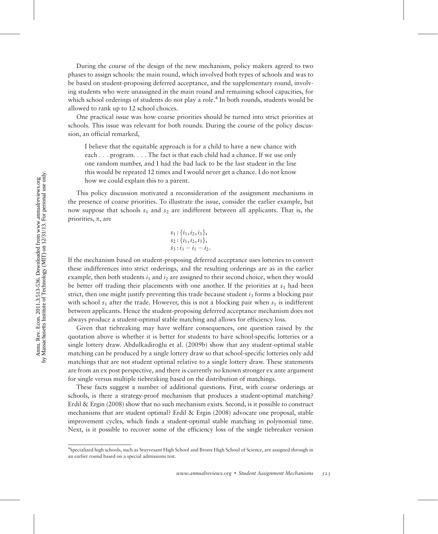During the course of the design of the new mechanism, policy makers agreed to two phases to assign schools: the main round, which involved both types of schools and was to be based on student-proposing deferred acceptance, and the supplementary round, involving students who were unassigned in the main round and remaining school capacities, for which school orderings of students do not play a role.<sup>4</sup> In both rounds, students would be allowed to rank up to 12 school choices.

One practical issue was how coarse priorities should be turned into strict priorities at schools. This issue was relevant for both rounds. During the course of the policy discussion, an official remarked,

I believe that the equitable approach is for a child to have a new chance with each . . . program. . . . The fact is that each child had a chance. If we use only one random number, and I had the bad luck to be the last student in the line this would be repeated 12 times and I would never get a chance. I do not know how we could explain this to a parent.

This policy discussion motivated a reconsideration of the assignment mechanisms in the presence of coarse priorities. To illustrate the issue, consider the earlier example, but now suppose that schools  $s_1$  and  $s_2$  are indifferent between all applicants. That is, the priorities,  $\pi$ , are

$$
s_1: \{i_1, i_2, i_3\},s_2: \{i_1, i_2, i_3\},s_3: i_3 - i_1 - i_2.
$$

If the mechanism based on student-proposing deferred acceptance uses lotteries to convert these indifferences into strict orderings, and the resulting orderings are as in the earlier example, then both students  $i_1$  and  $i_2$  are assigned to their second choice, when they would be better off trading their placements with one another. If the priorities at  $s<sub>1</sub>$  had been strict, then one might justify preventing this trade because student  $i_3$  forms a blocking pair with school  $s_1$  after the trade. However, this is not a blocking pair when  $s_1$  is indifferent between applicants. Hence the student-proposing deferred acceptance mechanism does not always produce a student-optimal stable matching and allows for efficiency loss.

Given that tiebreaking may have welfare consequences, one question raised by the quotation above is whether it is better for students to have school-specific lotteries or a single lottery draw. Abdulkadiroğlu et al. (2009b) show that any student-optimal stable matching can be produced by a single lottery draw so that school-specific lotteries only add matchings that are not student optimal relative to a single lottery draw. These statements are from an ex post perspective, and there is currently no known stronger ex ante argument for single versus multiple tiebreaking based on the distribution of matchings.

These facts suggest a number of additional questions. First, with coarse orderings at schools, is there a strategy-proof mechanism that produces a student-optimal matching? Erdil & Ergin (2008) show that no such mechanism exists. Second, is it possible to construct mechanisms that are student optimal? Erdil & Ergin (2008) advocate one proposal, stable improvement cycles, which finds a student-optimal stable matching in polynomial time. Next, is it possible to recover some of the efficiency loss of the single tiebreaker version

<sup>4</sup> Specialized high schools, such as Stuyvesant High School and Bronx High School of Science, are assigned through in an earlier round based on a special admissions test.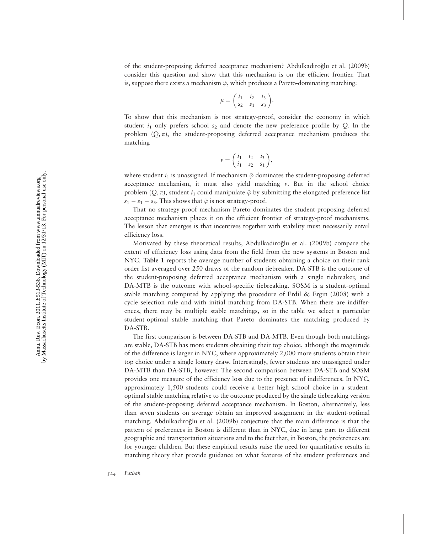of the student-proposing deferred acceptance mechanism? Abdulkadiroğlu et al. (2009b) consider this question and show that this mechanism is on the efficient frontier. That is, suppose there exists a mechanism  $\tilde{\varphi}$ , which produces a Pareto-dominating matching:

$$
\mu = \begin{pmatrix} i_1 & i_2 & i_3 \\ s_2 & s_1 & s_3 \end{pmatrix}.
$$

To show that this mechanism is not strategy-proof, consider the economy in which student  $i_1$  only prefers school  $s_2$  and denote the new preference profile by  $Q$ . In the problem  $(Q, \pi)$ , the student-proposing deferred acceptance mechanism produces the matching

$$
v = \begin{pmatrix} i_1 & i_2 & i_3 \\ i_1 & s_2 & s_1 \end{pmatrix},
$$

where student  $i_1$  is unassigned. If mechanism  $\tilde{\varphi}$  dominates the student-proposing deferred acceptance mechanism, it must also yield matching  $\nu$ . But in the school choice problem (Q,  $\pi$ ), student  $i_1$  could manipulate  $\tilde{\varphi}$  by submitting the elongated preference list  $s_1 - s_1 - s_3$ . This shows that  $\tilde{\varphi}$  is not strategy-proof.

That no strategy-proof mechanism Pareto dominates the student-proposing deferred acceptance mechanism places it on the efficient frontier of strategy-proof mechanisms. The lesson that emerges is that incentives together with stability must necessarily entail efficiency loss.

Motivated by these theoretical results, Abdulkadiroğlu et al. (2009b) compare the extent of efficiency loss using data from the field from the new systems in Boston and NYC. Table 1 reports the average number of students obtaining a choice on their rank order list averaged over 250 draws of the random tiebreaker. DA-STB is the outcome of the student-proposing deferred acceptance mechanism with a single tiebreaker, and DA-MTB is the outcome with school-specific tiebreaking. SOSM is a student-optimal stable matching computed by applying the procedure of Erdil  $\&$  Ergin (2008) with a cycle selection rule and with initial matching from DA-STB. When there are indifferences, there may be multiple stable matchings, so in the table we select a particular student-optimal stable matching that Pareto dominates the matching produced by DA-STB.

The first comparison is between DA-STB and DA-MTB. Even though both matchings are stable, DA-STB has more students obtaining their top choice, although the magnitude of the difference is larger in NYC, where approximately 2,000 more students obtain their top choice under a single lottery draw. Interestingly, fewer students are unassigned under DA-MTB than DA-STB, however. The second comparison between DA-STB and SOSM provides one measure of the efficiency loss due to the presence of indifferences. In NYC, approximately 1,500 students could receive a better high school choice in a studentoptimal stable matching relative to the outcome produced by the single tiebreaking version of the student-proposing deferred acceptance mechanism. In Boston, alternatively, less than seven students on average obtain an improved assignment in the student-optimal matching. Abdulkadiroğlu et al. (2009b) conjecture that the main difference is that the pattern of preferences in Boston is different than in NYC, due in large part to different geographic and transportation situations and to the fact that, in Boston, the preferences are for younger children. But these empirical results raise the need for quantitative results in matching theory that provide guidance on what features of the student preferences and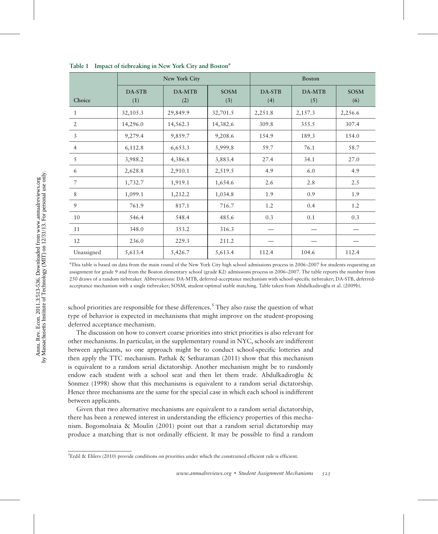|                | New York City        |                      |                    | <b>Boston</b> |                      |                    |  |
|----------------|----------------------|----------------------|--------------------|---------------|----------------------|--------------------|--|
| Choice         | <b>DA-STB</b><br>(1) | <b>DA-MTB</b><br>(2) | <b>SOSM</b><br>(3) | DA-STB<br>(4) | <b>DA-MTB</b><br>(5) | <b>SOSM</b><br>(6) |  |
| $\mathbf{1}$   | 32,105.3             | 29,849.9             | 32,701.5           | 2,251.8       | 2,157.3              | 2,256.6            |  |
| 2              | 14,296.0             | 14,562.3             | 14,382.6           | 309.8         | 355.5                | 307.4              |  |
| 3              | 9,279.4              | 9,859.7              | 9,208.6            | 154.9         | 189.3                | 154.0              |  |
| $\overline{4}$ | 6,112.8              | 6,653.3              | 5,999.8            | 59.7          | 76.1                 | 58.7               |  |
| 5              | 3,988.2              | 4,386.8              | 3,883.4            | 27.4          | 34.1                 | 27.0               |  |
| 6              | 2,628.8              | 2,910.1              | 2,519.5            | 4.9           | 6.0                  | 4.9                |  |
| $\overline{7}$ | 1,732.7              | 1,919.1              | 1,654.6            | 2.6           | 2.8                  | 2.5                |  |
| 8              | 1,099.1              | 1,212.2              | 1,034.8            | 1.9           | 0.9                  | 1.9                |  |
| 9              | 761.9                | 817.1                | 716.7              | 1.2           | 0.4                  | 1.2                |  |
| 10             | 546.4                | 548.4                | 485.6              | 0.3           | 0.1                  | 0.3                |  |
| 11             | 348.0                | 353.2                | 316.3              |               |                      |                    |  |
| 12             | 236.0                | 229.3                | 211.2              |               |                      |                    |  |
| Unassigned     | 5,613.4              | 5,426.7              | 5,613.4            | 112.4         | 104.6                | 112.4              |  |

Table 1 Impact of tiebreaking in New York City and Boston<sup>a</sup>

a This table is based on data from the main round of the New York City high school admissions process in 2006–2007 for students requesting an assignment for grade 9 and from the Boston elementary school (grade K2) admissions process in 2006–2007. The table reports the number from 250 draws of a random tiebreaker. Abbreviations: DA-MTB, deferred-acceptance mechanism with school-specific tiebreaker; DA-STB, deferredacceptance mechanism with a single tiebreaker; SOSM, student-optimal stable matching. Table taken from Abdulkadiroğlu et al. (2009b).

school priorities are responsible for these differences.<sup>5</sup> They also raise the question of what type of behavior is expected in mechanisms that might improve on the student-proposing deferred acceptance mechanism.

The discussion on how to convert coarse priorities into strict priorities is also relevant for other mechanisms. In particular, in the supplementary round in NYC, schools are indifferent between applicants, so one approach might be to conduct school-specific lotteries and then apply the TTC mechanism. Pathak & Sethuraman (2011) show that this mechanism is equivalent to a random serial dictatorship. Another mechanism might be to randomly endow each student with a school seat and then let them trade. Abdulkadiroğlu & Sönmez (1998) show that this mechanisms is equivalent to a random serial dictatorship. Hence three mechanisms are the same for the special case in which each school is indifferent between applicants.

Given that two alternative mechanisms are equivalent to a random serial dictatorship, there has been a renewed interest in understanding the efficiency properties of this mechanism. Bogomolnaia & Moulin (2001) point out that a random serial dictatorship may produce a matching that is not ordinally efficient. It may be possible to find a random

<sup>5</sup> Erdil & Ehlers (2010) provide conditions on priorities under which the constrained efficient rule is efficient.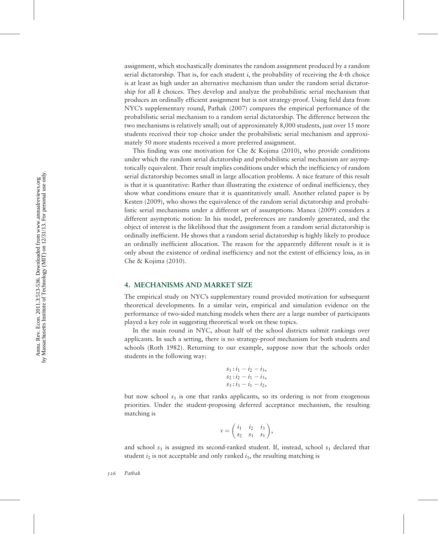assignment, which stochastically dominates the random assignment produced by a random serial dictatorship. That is, for each student  $i$ , the probability of receiving the  $k$ -th choice is at least as high under an alternative mechanism than under the random serial dictatorship for all k choices. They develop and analyze the probabilistic serial mechanism that produces an ordinally efficient assignment but is not strategy-proof. Using field data from NYC's supplementary round, Pathak (2007) compares the empirical performance of the probabilistic serial mechanism to a random serial dictatorship. The difference between the two mechanisms is relatively small; out of approximately 8,000 students, just over 15 more students received their top choice under the probabilistic serial mechanism and approximately 50 more students received a more preferred assignment.

This finding was one motivation for Che & Kojima (2010), who provide conditions under which the random serial dictatorship and probabilistic serial mechanism are asymptotically equivalent. Their result implies conditions under which the inefficiency of random serial dictatorship becomes small in large allocation problems. A nice feature of this result is that it is quantitative: Rather than illustrating the existence of ordinal inefficiency, they show what conditions ensure that it is quantitatively small. Another related paper is by Kesten (2009), who shows the equivalence of the random serial dictatorship and probabilistic serial mechanisms under a different set of assumptions. Manea (2009) considers a different asymptotic notion: In his model, preferences are randomly generated, and the object of interest is the likelihood that the assignment from a random serial dictatorship is ordinally inefficient. He shows that a random serial dictatorship is highly likely to produce an ordinally inefficient allocation. The reason for the apparently different result is it is only about the existence of ordinal inefficiency and not the extent of efficiency loss, as in Che & Kojima (2010).

#### 4. MECHANISMS AND MARKET SIZE

The empirical study on NYC's supplementary round provided motivation for subsequent theoretical developments. In a similar vein, empirical and simulation evidence on the performance of two-sided matching models when there are a large number of participants played a key role in suggesting theoretical work on these topics.

In the main round in NYC, about half of the school districts submit rankings over applicants. In such a setting, there is no strategy-proof mechanism for both students and schools (Roth 1982). Returning to our example, suppose now that the schools order students in the following way:

$$
s_1 : i_1 - i_2 - i_3,s_2 : i_2 - i_1 - i_3,s_3 : i_3 - i_1 - i_2,
$$

but now school  $s_1$  is one that ranks applicants, so its ordering is not from exogenous priorities. Under the student-proposing deferred acceptance mechanism, the resulting matching is

$$
v=\begin{pmatrix} i_1 & i_2 & i_3 \ s_2 & s_1 & s_1 \end{pmatrix},
$$

and school  $s_1$  is assigned its second-ranked student. If, instead, school  $s_1$  declared that student  $i_2$  is not acceptable and only ranked  $i_1$ , the resulting matching is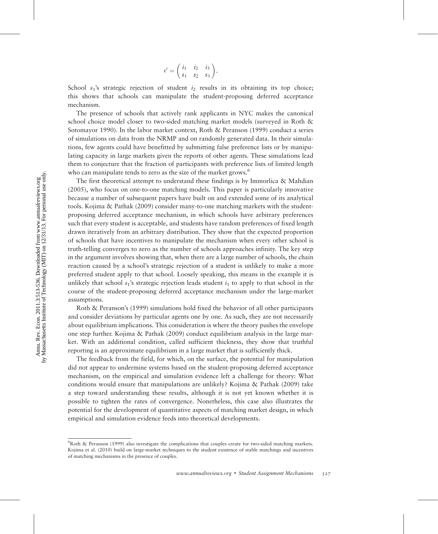$$
v'=\begin{pmatrix} i_1 & i_2 & i_3 \\ s_1 & s_2 & s_3 \end{pmatrix}.
$$

School  $s_1$ 's strategic rejection of student  $i_2$  results in its obtaining its top choice; this shows that schools can manipulate the student-proposing deferred acceptance mechanism.

The presence of schools that actively rank applicants in NYC makes the canonical school choice model closer to two-sided matching market models (surveyed in Roth & Sotomayor 1990). In the labor market context, Roth & Peranson (1999) conduct a series of simulations on data from the NRMP and on randomly generated data. In their simulations, few agents could have benefitted by submitting false preference lists or by manipulating capacity in large markets given the reports of other agents. These simulations lead them to conjecture that the fraction of participants with preference lists of limited length who can manipulate tends to zero as the size of the market grows.<sup>6</sup>

The first theoretical attempt to understand these findings is by Immorlica & Mahdian (2005), who focus on one-to-one matching models. This paper is particularly innovative because a number of subsequent papers have built on and extended some of its analytical tools. Kojima & Pathak (2009) consider many-to-one matching markets with the studentproposing deferred acceptance mechanism, in which schools have arbitrary preferences such that every student is acceptable, and students have random preferences of fixed length drawn iteratively from an arbitrary distribution. They show that the expected proportion of schools that have incentives to manipulate the mechanism when every other school is truth-telling converges to zero as the number of schools approaches infinity. The key step in the argument involves showing that, when there are a large number of schools, the chain reaction caused by a school's strategic rejection of a student is unlikely to make a more preferred student apply to that school. Loosely speaking, this means in the example it is unlikely that school  $s_1$ 's strategic rejection leads student  $i_1$  to apply to that school in the course of the student-proposing deferred acceptance mechanism under the large-market assumptions.

Roth & Peranson's (1999) simulations hold fixed the behavior of all other participants and consider deviations by particular agents one by one. As such, they are not necessarily about equilibrium implications. This consideration is where the theory pushes the envelope one step further. Kojima & Pathak (2009) conduct equilibrium analysis in the large market. With an additional condition, called sufficient thickness, they show that truthful reporting is an approximate equilibrium in a large market that is sufficiently thick.

The feedback from the field, for which, on the surface, the potential for manipulation did not appear to undermine systems based on the student-proposing deferred acceptance mechanism, on the empirical and simulation evidence left a challenge for theory: What conditions would ensure that manipulations are unlikely? Kojima & Pathak (2009) take a step toward understanding these results, although it is not yet known whether it is possible to tighten the rates of convergence. Nonetheless, this case also illustrates the potential for the development of quantitative aspects of matching market design, in which empirical and simulation evidence feeds into theoretical developments.

<sup>6</sup> Roth & Peranson (1999) also investigate the complications that couples create for two-sided matching markets. Kojima et al. (2010) build on large-market techniques to the student existence of stable matchings and incentives of matching mechanisms in the presence of couples.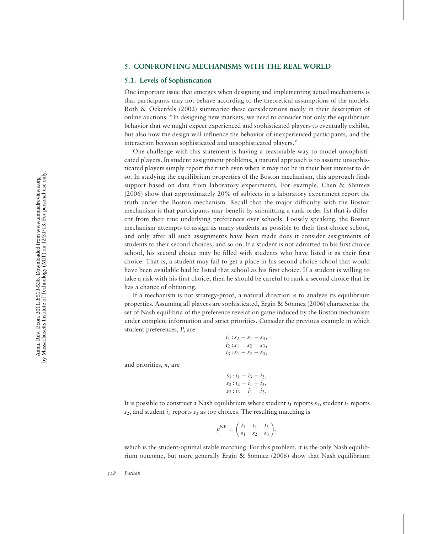#### 5. CONFRONTING MECHANISMS WITH THE REALWORLD

#### 5.1. Levels of Sophistication

One important issue that emerges when designing and implementing actual mechanisms is that participants may not behave according to the theoretical assumptions of the models. Roth & Ockenfels (2002) summarize these considerations nicely in their description of online auctions: "In designing new markets, we need to consider not only the equilibrium behavior that we might expect experienced and sophisticated players to eventually exhibit, but also how the design will influence the behavior of inexperienced participants, and the interaction between sophisticated and unsophisticated players."

One challenge with this statement is having a reasonable way to model unsophisticated players. In student assignment problems, a natural approach is to assume unsophisticated players simply report the truth even when it may not be in their best interest to do so. In studying the equilibrium properties of the Boston mechanism, this approach finds support based on data from laboratory experiments. For example, Chen & Sönmez (2006) show that approximately 20% of subjects in a laboratory experiment report the truth under the Boston mechanism. Recall that the major difficulty with the Boston mechanism is that participants may benefit by submitting a rank order list that is different from their true underlying preferences over schools. Loosely speaking, the Boston mechanism attempts to assign as many students as possible to their first-choice school, and only after all such assignments have been made does it consider assignments of students to their second choices, and so on. If a student is not admitted to his first choice school, his second choice may be filled with students who have listed it as their first choice. That is, a student may fail to get a place in his second-choice school that would have been available had he listed that school as his first choice. If a student is willing to take a risk with his first choice, then he should be careful to rank a second choice that he has a chance of obtaining.

If a mechanism is not strategy-proof, a natural direction is to analyze its equilibrium properties. Assuming all players are sophisticated, Ergin & Sönmez (2006) characterize the set of Nash equilibria of the preference revelation game induced by the Boston mechanism under complete information and strict priorities. Consider the previous example in which student preferences, P, are

 $i_1$  :  $s_2$  –  $s_1$  –  $s_3$ ,  $i_2$ :  $s_1$  –  $s_2$  –  $s_3$ ,  $i_3$ :  $s_1$  –  $s_2$  –  $s_3$ ,  $s_1$  :  $i_1 - i_3 - i_2$ ,  $s_2$  :  $i_2 - i_1 - i_3$ ,  $s_3 : i_3 - i_1 - i_2.$ 

It is possible to construct a Nash equilibrium where student  $i_1$  reports  $s_1$ , student  $i_2$  reports  $s_2$ , and student  $i_3$  reports  $s_3$  as top choices. The resulting matching is

$$
\mu^{\text{NE}} = \begin{pmatrix} i_1 & i_2 & i_3 \\ s_1 & s_2 & s_3 \end{pmatrix},
$$

which is the student-optimal stable matching. For this problem, it is the only Nash equilibrium outcome, but more generally Ergin & Sönmez (2006) show that Nash equilibrium

and priorities,  $\pi$ , are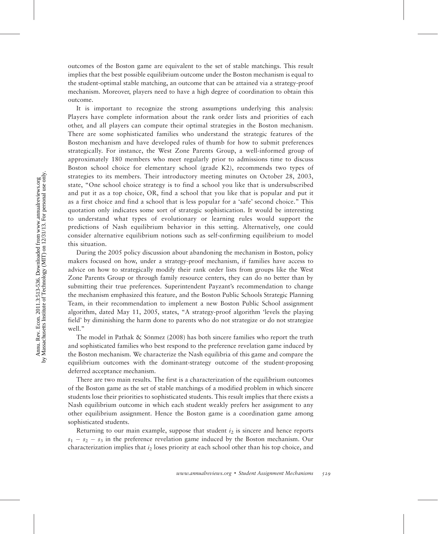outcomes of the Boston game are equivalent to the set of stable matchings. This result implies that the best possible equilibrium outcome under the Boston mechanism is equal to the student-optimal stable matching, an outcome that can be attained via a strategy-proof mechanism. Moreover, players need to have a high degree of coordination to obtain this outcome.

It is important to recognize the strong assumptions underlying this analysis: Players have complete information about the rank order lists and priorities of each other, and all players can compute their optimal strategies in the Boston mechanism. There are some sophisticated families who understand the strategic features of the Boston mechanism and have developed rules of thumb for how to submit preferences strategically. For instance, the West Zone Parents Group, a well-informed group of approximately 180 members who meet regularly prior to admissions time to discuss Boston school choice for elementary school (grade K2), recommends two types of strategies to its members. Their introductory meeting minutes on October 28, 2003, state, "One school choice strategy is to find a school you like that is undersubscribed and put it as a top choice, OR, find a school that you like that is popular and put it as a first choice and find a school that is less popular for a 'safe' second choice." This quotation only indicates some sort of strategic sophistication. It would be interesting to understand what types of evolutionary or learning rules would support the predictions of Nash equilibrium behavior in this setting. Alternatively, one could consider alternative equilibrium notions such as self-confirming equilibrium to model this situation.

During the 2005 policy discussion about abandoning the mechanism in Boston, policy makers focused on how, under a strategy-proof mechanism, if families have access to advice on how to strategically modify their rank order lists from groups like the West Zone Parents Group or through family resource centers, they can do no better than by submitting their true preferences. Superintendent Payzant's recommendation to change the mechanism emphasized this feature, and the Boston Public Schools Strategic Planning Team, in their recommendation to implement a new Boston Public School assignment algorithm, dated May 11, 2005, states, "A strategy-proof algorithm 'levels the playing field' by diminishing the harm done to parents who do not strategize or do not strategize well."

The model in Pathak & Sönmez (2008) has both sincere families who report the truth and sophisticated families who best respond to the preference revelation game induced by the Boston mechanism. We characterize the Nash equilibria of this game and compare the equilibrium outcomes with the dominant-strategy outcome of the student-proposing deferred acceptance mechanism.

There are two main results. The first is a characterization of the equilibrium outcomes of the Boston game as the set of stable matchings of a modified problem in which sincere students lose their priorities to sophisticated students. This result implies that there exists a Nash equilibrium outcome in which each student weakly prefers her assignment to any other equilibrium assignment. Hence the Boston game is a coordination game among sophisticated students.

Returning to our main example, suppose that student  $i_2$  is sincere and hence reports  $s_1 - s_2 - s_3$  in the preference revelation game induced by the Boston mechanism. Our characterization implies that  $i_2$  loses priority at each school other than his top choice, and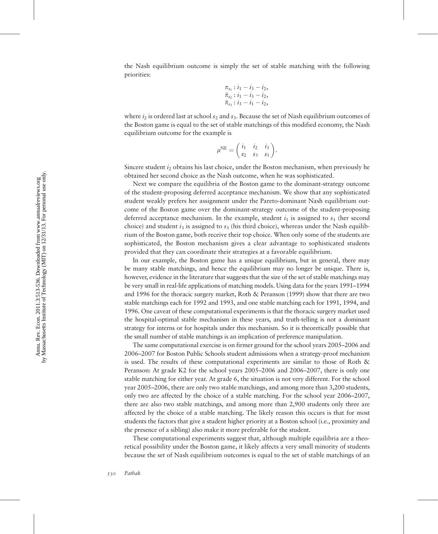the Nash equilibrium outcome is simply the set of stable matching with the following priorities:

$$
\pi_{s_1}: i_1 - i_3 - i_2,\n\tilde{\pi}_{s_2}: i_1 - i_3 - i_2,\n\tilde{\pi}_{s_3}: i_3 - i_1 - i_2,
$$

where  $i_2$  is ordered last at school  $s_2$  and  $s_3$ . Because the set of Nash equilibrium outcomes of the Boston game is equal to the set of stable matchings of this modified economy, the Nash equilibrium outcome for the example is

$$
\mu^{\text{NE}} = \begin{pmatrix} i_1 & i_2 & i_3 \\ s_2 & s_3 & s_1 \end{pmatrix}.
$$

Sincere student  $i_2$  obtains his last choice, under the Boston mechanism, when previously he obtained her second choice as the Nash outcome, when he was sophisticated.

Next we compare the equilibria of the Boston game to the dominant-strategy outcome of the student-proposing deferred acceptance mechanism. We show that any sophisticated student weakly prefers her assignment under the Pareto-dominant Nash equilibrium outcome of the Boston game over the dominant-strategy outcome of the student-proposing deferred acceptance mechanism. In the example, student  $i_1$  is assigned to  $s_1$  (her second choice) and student  $i_3$  is assigned to  $s_3$  (his third choice), whereas under the Nash equilibrium of the Boston game, both receive their top choice. When only some of the students are sophisticated, the Boston mechanism gives a clear advantage to sophisticated students provided that they can coordinate their strategies at a favorable equilibrium.

In our example, the Boston game has a unique equilibrium, but in general, there may be many stable matchings, and hence the equilibrium may no longer be unique. There is, however, evidence in the literature that suggests that the size of the set of stable matchings may be very small in real-life applications of matching models. Using data for the years 1991–1994 and 1996 for the thoracic surgery market, Roth & Peranson (1999) show that there are two stable matchings each for 1992 and 1993, and one stable matching each for 1991, 1994, and 1996. One caveat of these computational experiments is that the thoracic surgery market used the hospital-optimal stable mechanism in these years, and truth-telling is not a dominant strategy for interns or for hospitals under this mechanism. So it is theoretically possible that the small number of stable matchings is an implication of preference manipulation.

The same computational exercise is on firmer ground for the school years 2005–2006 and 2006–2007 for Boston Public Schools student admissions when a strategy-proof mechanism is used. The results of these computational experiments are similar to those of Roth & Peranson: At grade K2 for the school years 2005–2006 and 2006–2007, there is only one stable matching for either year. At grade 6, the situation is not very different. For the school year 2005–2006, there are only two stable matchings, and among more than 3,200 students, only two are affected by the choice of a stable matching. For the school year 2006–2007, there are also two stable matchings, and among more than 2,900 students only three are affected by the choice of a stable matching. The likely reason this occurs is that for most students the factors that give a student higher priority at a Boston school (i.e., proximity and the presence of a sibling) also make it more preferable for the student.

These computational experiments suggest that, although multiple equilibria are a theoretical possibility under the Boston game, it likely affects a very small minority of students because the set of Nash equilibrium outcomes is equal to the set of stable matchings of an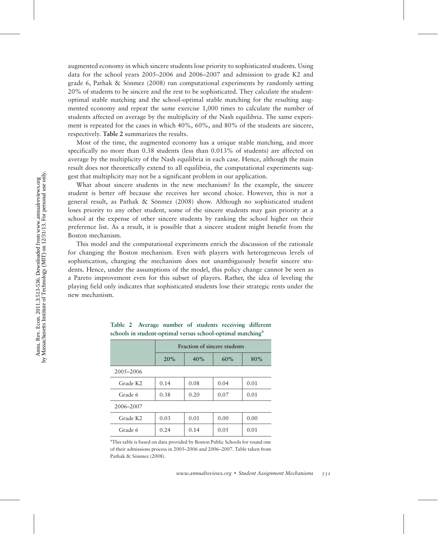augmented economy in which sincere students lose priority to sophisticated students. Using data for the school years 2005–2006 and 2006–2007 and admission to grade K2 and grade 6, Pathak & Sönmez (2008) run computational experiments by randomly setting 20% of students to be sincere and the rest to be sophisticated. They calculate the studentoptimal stable matching and the school-optimal stable matching for the resulting augmented economy and repeat the same exercise 1,000 times to calculate the number of students affected on average by the multiplicity of the Nash equilibria. The same experiment is repeated for the cases in which 40%, 60%, and 80% of the students are sincere, respectively. Table 2 summarizes the results.

Most of the time, the augmented economy has a unique stable matching, and more specifically no more than 0.38 students (less than 0.013% of students) are affected on average by the multiplicity of the Nash equilibria in each case. Hence, although the main result does not theoretically extend to all equilibria, the computational experiments suggest that multiplicity may not be a significant problem in our application.

What about sincere students in the new mechanism? In the example, the sincere student is better off because she receives her second choice. However, this is not a general result, as Pathak & Sönmez (2008) show. Although no sophisticated student loses priority to any other student, some of the sincere students may gain priority at a school at the expense of other sincere students by ranking the school higher on their preference list. As a result, it is possible that a sincere student might benefit from the Boston mechanism.

This model and the computational experiments enrich the discussion of the rationale for changing the Boston mechanism. Even with players with heterogeneous levels of sophistication, changing the mechanism does not unambiguously benefit sincere students. Hence, under the assumptions of the model, this policy change cannot be seen as a Pareto improvement even for this subset of players. Rather, the idea of leveling the playing field only indicates that sophisticated students lose their strategic rents under the new mechanism.

|           | Fraction of sincere students |      |      |      |  |  |
|-----------|------------------------------|------|------|------|--|--|
|           | 20%                          | 40%  | 60%  | 80%  |  |  |
| 2005-2006 |                              |      |      |      |  |  |
| Grade K2  | 0.14                         | 0.08 | 0.04 | 0.01 |  |  |
| Grade 6   | 0.38                         | 0.20 | 0.07 | 0.01 |  |  |
| 2006-2007 |                              |      |      |      |  |  |
| Grade K2  | 0.03                         | 0.01 | 0.00 | 0.00 |  |  |
| Grade 6   | 0.24                         | 0.14 | 0.05 | 0.01 |  |  |

Table 2 Average number of students receiving different schools in student-optimal versus school-optimal matching<sup>a</sup>

<sup>a</sup>This table is based on data provided by Boston Public Schools for round one of their admissions process in 2005–2006 and 2006–2007. Table taken from Pathak & Sönmez (2008).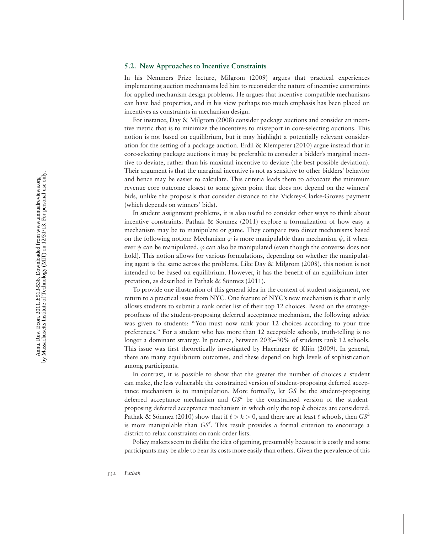#### 5.2. New Approaches to Incentive Constraints

In his Nemmers Prize lecture, Milgrom (2009) argues that practical experiences implementing auction mechanisms led him to reconsider the nature of incentive constraints for applied mechanism design problems. He argues that incentive-compatible mechanisms can have bad properties, and in his view perhaps too much emphasis has been placed on incentives as constraints in mechanism design.

For instance, Day & Milgrom (2008) consider package auctions and consider an incentive metric that is to minimize the incentives to misreport in core-selecting auctions. This notion is not based on equilibrium, but it may highlight a potentially relevant consideration for the setting of a package auction. Erdil & Klemperer (2010) argue instead that in core-selecting package auctions it may be preferable to consider a bidder's marginal incentive to deviate, rather than his maximal incentive to deviate (the best possible deviation). Their argument is that the marginal incentive is not as sensitive to other bidders' behavior and hence may be easier to calculate. This criteria leads them to advocate the minimum revenue core outcome closest to some given point that does not depend on the winners' bids, unlike the proposals that consider distance to the Vickrey-Clarke-Groves payment (which depends on winners' bids).

In student assignment problems, it is also useful to consider other ways to think about incentive constraints. Pathak & Sönmez  $(2011)$  explore a formalization of how easy a mechanism may be to manipulate or game. They compare two direct mechanisms based on the following notion: Mechanism  $\varphi$  is more manipulable than mechanism  $\psi$ , if whenever  $\psi$  can be manipulated,  $\varphi$  can also be manipulated (even though the converse does not hold). This notion allows for various formulations, depending on whether the manipulating agent is the same across the problems. Like Day & Milgrom (2008), this notion is not intended to be based on equilibrium. However, it has the benefit of an equilibrium interpretation, as described in Pathak & Sönmez (2011).

To provide one illustration of this general idea in the context of student assignment, we return to a practical issue from NYC. One feature of NYC's new mechanism is that it only allows students to submit a rank order list of their top 12 choices. Based on the strategyproofness of the student-proposing deferred acceptance mechanism, the following advice was given to students: "You must now rank your 12 choices according to your true preferences." For a student who has more than 12 acceptable schools, truth-telling is no longer a dominant strategy. In practice, between 20%–30% of students rank 12 schools. This issue was first theoretically investigated by Haeringer & Klijn (2009). In general, there are many equilibrium outcomes, and these depend on high levels of sophistication among participants.

In contrast, it is possible to show that the greater the number of choices a student can make, the less vulnerable the constrained version of student-proposing deferred acceptance mechanism is to manipulation. More formally, let GS be the student-proposing deferred acceptance mechanism and  $GS<sup>k</sup>$  be the constrained version of the studentproposing deferred acceptance mechanism in which only the top k choices are considered. Pathak & Sönmez (2010) show that if  $\ell > k > 0$ , and there are at least  $\ell$  schools, then  $GS^k$ is more manipulable than  $GS^{\ell}$ . This result provides a formal criterion to encourage a district to relax constraints on rank order lists.

Policy makers seem to dislike the idea of gaming, presumably because it is costly and some participants may be able to bear its costs more easily than others. Given the prevalence of this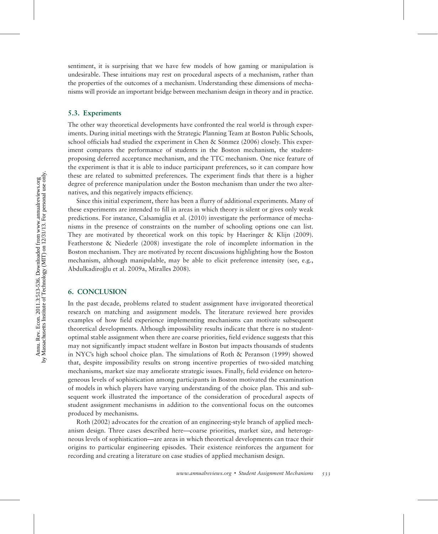sentiment, it is surprising that we have few models of how gaming or manipulation is undesirable. These intuitions may rest on procedural aspects of a mechanism, rather than the properties of the outcomes of a mechanism. Understanding these dimensions of mechanisms will provide an important bridge between mechanism design in theory and in practice.

#### 5.3. Experiments

The other way theoretical developments have confronted the real world is through experiments. During initial meetings with the Strategic Planning Team at Boston Public Schools, school officials had studied the experiment in Chen & Sönmez (2006) closely. This experiment compares the performance of students in the Boston mechanism, the studentproposing deferred acceptance mechanism, and the TTC mechanism. One nice feature of the experiment is that it is able to induce participant preferences, so it can compare how these are related to submitted preferences. The experiment finds that there is a higher degree of preference manipulation under the Boston mechanism than under the two alternatives, and this negatively impacts efficiency.

Since this initial experiment, there has been a flurry of additional experiments. Many of these experiments are intended to fill in areas in which theory is silent or gives only weak predictions. For instance, Calsamiglia et al. (2010) investigate the performance of mechanisms in the presence of constraints on the number of schooling options one can list. They are motivated by theoretical work on this topic by Haeringer & Klijn (2009). Featherstone & Niederle (2008) investigate the role of incomplete information in the Boston mechanism. They are motivated by recent discussions highlighting how the Boston mechanism, although manipulable, may be able to elicit preference intensity (see, e.g., Abdulkadiroğlu et al. 2009a, Miralles 2008).

#### 6. CONCLUSION

In the past decade, problems related to student assignment have invigorated theoretical research on matching and assignment models. The literature reviewed here provides examples of how field experience implementing mechanisms can motivate subsequent theoretical developments. Although impossibility results indicate that there is no studentoptimal stable assignment when there are coarse priorities, field evidence suggests that this may not significantly impact student welfare in Boston but impacts thousands of students in NYC's high school choice plan. The simulations of Roth & Peranson (1999) showed that, despite impossibility results on strong incentive properties of two-sided matching mechanisms, market size may ameliorate strategic issues. Finally, field evidence on heterogeneous levels of sophistication among participants in Boston motivated the examination of models in which players have varying understanding of the choice plan. This and subsequent work illustrated the importance of the consideration of procedural aspects of student assignment mechanisms in addition to the conventional focus on the outcomes produced by mechanisms.

Roth (2002) advocates for the creation of an engineering-style branch of applied mechanism design. Three cases described here—coarse priorities, market size, and heterogeneous levels of sophistication—are areas in which theoretical developments can trace their origins to particular engineering episodes. Their existence reinforces the argument for recording and creating a literature on case studies of applied mechanism design.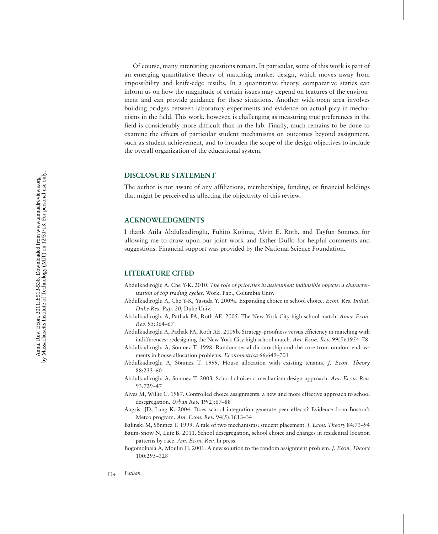Of course, many interesting questions remain. In particular, some of this work is part of an emerging quantitative theory of matching market design, which moves away from impossibility and knife-edge results. In a quantitative theory, comparative statics can inform us on how the magnitude of certain issues may depend on features of the environment and can provide guidance for these situations. Another wide-open area involves building bridges between laboratory experiments and evidence on actual play in mechanisms in the field. This work, however, is challenging as measuring true preferences in the field is considerably more difficult than in the lab. Finally, much remains to be done to examine the effects of particular student mechanisms on outcomes beyond assignment, such as student achievement, and to broaden the scope of the design objectives to include the overall organization of the educational system.

#### DISCLOSURE STATEMENT

The author is not aware of any affiliations, memberships, funding, or financial holdings that might be perceived as affecting the objectivity of this review.

#### ACKNOWLEDGMENTS

I thank Atila Abdulkadiroğlu, Fuhito Kojima, Alvin E. Roth, and Tayfun Sönmez for allowing me to draw upon our joint work and Esther Duflo for helpful comments and suggestions. Financial support was provided by the National Science Foundation.

#### LITERATURE CITED

- Abdulkadiroğlu A, Che Y-K. 2010. The role of priorities in assignment indivisible objects: a characterization of top trading cycles. Work. Pap., Columbia Univ.
- Abdulkadiroğlu A, Che Y-K, Yasuda Y. 2009a. Expanding choice in school choice. Econ. Res. Initiat. Duke Res. Pap. 20, Duke Univ.
- Abdulkadiroğlu A, Pathak PA, Roth AE. 2005. The New York City high school match. Amer. Econ. Rev. 95:364–67
- Abdulkadirog˘lu A, Pathak PA, Roth AE. 2009b. Strategy-proofness versus efficiency in matching with indifferences: redesigning the New York City high school match. Am. Econ. Rev. 99(5):1954–78
- Abdulkadiroğlu A, Sönmez T. 1998. Random serial dictatorship and the core from random endowments in house allocation problems. Econometrica 66:649–701
- Abdulkadiroğlu A, Sönmez T. 1999. House allocation with existing tenants. J. Econ. Theory 88:233–60
- Abdulkadiroğlu A, Sönmez T. 2003. School choice: a mechanism design approach. Am. Econ. Rev. 93:729–47
- Alves M, Willie C. 1987. Controlled choice assignments: a new and more effective approach to school desegregation. Urban Rev. 19(2):67–88
- Angrist JD, Lang K. 2004. Does school integration generate peer effects? Evidence from Boston's Metco program. Am. Econ. Rev. 94(5):1613–34
- Balinski M, Sönmez T. 1999. A tale of two mechanisms: student placement. J. Econ. Theory 84:73–94
- Baum-Snow N, Lutz B. 2011. School desegregation, school choice and changes in residential location patterns by race. Am. Econ. Rev. In press
- Bogomolnaia A, Moulin H. 2001. A new solution to the random assignment problem. J. Econ. Theory 100:295–328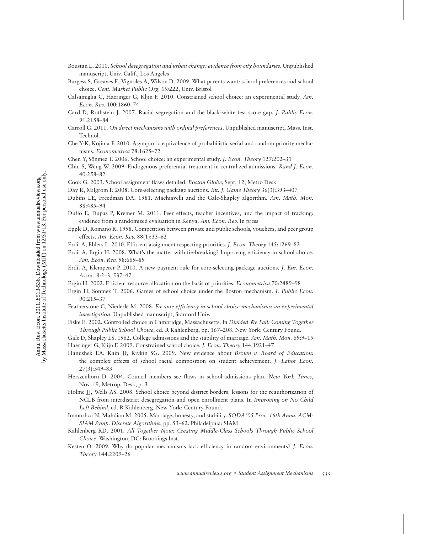- Boustan L. 2010. School desegregation and urban change: evidence from city boundaries. Unpublished manuscript, Univ. Calif., Los Angeles
- Burgess S, Greaves E, Vignoles A, Wilson D. 2009. What parents want: school preferences and school choice. Cent. Market Public Org. 09/222, Univ. Bristol
- Calsamiglia C, Haeringer G, Kljin F. 2010. Constrained school choice: an experimental study. Am. Econ. Rev. 100:1860–74
- Card D, Rothstein J. 2007. Racial segregation and the black-white test score gap. J. Public Econ. 91:2158–84
- Carroll G. 2011. On direct mechanisms with ordinal preferences. Unpublished manuscript, Mass. Inst. Technol.
- Che Y-K, Kojima F. 2010. Asymptotic equivalence of probabilistic serial and random priority mechanisms. Econometrica 78:1625–72
- Chen Y, Sönmez T. 2006. School choice: an experimental study. *J. Econ. Theory* 127:202-31
- Chiu S, Weng W. 2009. Endogenous preferential treatment in centralized admissions. Rand J. Econ. 40:258–82
- Cook G. 2003. School assignment flaws detailed. Boston Globe, Sept. 12, Metro Desk
- Day R, Milgrom P. 2008. Core-selecting package auctions. Int. J. Game Theory 36(3):393–407
- Dubins LE, Freedman DA. 1981. Machiavelli and the Gale-Shapley algorithm. Am. Math. Mon. 88:485–94
- Duflo E, Dupas P, Kremer M. 2011. Peer effects, teacher incentives, and the impact of tracking: evidence from a randomized evaluation in Kenya. Am. Econ. Rev. In press
- Epple D, Romano R. 1998. Competition between private and public schools, vouchers, and peer group effects. Am. Econ. Rev. 88(1):33–62
- Erdil A, Ehlers L. 2010. Efficient assignment respecting priorities. J. Econ. Theory 145:1269–82
- Erdil A, Ergin H. 2008. What's the matter with tie-breaking? Improving efficiency in school choice. Am. Econ. Rev. 98:669–89
- Erdil A, Klemperer P. 2010. A new payment rule for core-selecting package auctions. J. Eur. Econ. Assoc. 8:2–3, 537–47
- Ergin H. 2002. Efficient resource allocation on the basis of priorities. Econometrica 70:2489–98
- Ergin H, Sönmez T. 2006. Games of school choice under the Boston mechanism. J. Public Econ. 90:215–37
- Featherstone C, Niederle M. 2008. Ex ante efficiency in school choice mechanisms: an experimental investigation. Unpublished manuscript, Stanford Univ.
- Fiske E. 2002. Controlled choice in Cambridge, Massachusetts. In Divided We Fail: Coming Together Through Public School Choice, ed. R Kahlenberg, pp. 167–208. New York: Century Found.
- Gale D, Shapley LS. 1962. College admissions and the stability of marriage. Am. Math. Mon. 69:9–15 Haeringer G, Klijn F. 2009. Constrained school choice. J. Econ. Theory 144:1921–47
- Hanushek EA, Kain JF, Rivkin SG. 2009. New evidence about Brown v. Board of Education: the complex effects of school racial composition on student achievement. J. Labor Econ. 27(3):349–83
- Herszenhorn D. 2004. Council members see flaws in school-admissions plan. New York Times, Nov. 19, Metrop. Desk, p. 3
- Holme JJ, Wells AS. 2008. School choice beyond district borders: lessons for the reauthorization of NCLB from interdistrict desegregation and open enrollment plans. In Improving on No Child Left Behind, ed. R Kahlenberg. New York: Century Found.
- Immorlica N, Mahdian M. 2005. Marriage, honesty, and stability. SODA'05 Proc. 16th Annu. ACM-SIAM Symp. Discrete Algorithms, pp. 53–62. Philadelphia: SIAM
- Kahlenberg RD. 2001. All Together Now: Creating Middle-Class Schools Through Public School Choice. Washington, DC: Brookings Inst.
- Kesten O. 2009. Why do popular mechanisms lack efficiency in random environments? *J. Econ.* Theory 144:2209–26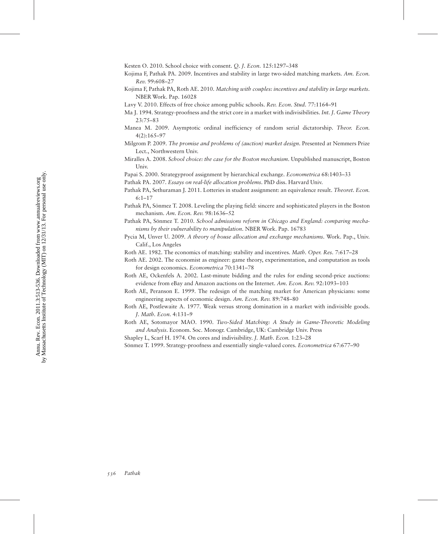Kesten O. 2010. School choice with consent. Q. J. Econ. 125:1297–348

- Kojima F, Pathak PA. 2009. Incentives and stability in large two-sided matching markets. Am. Econ. Rev. 99:608–27
- Kojima F, Pathak PA, Roth AE. 2010. Matching with couples: incentives and stability in large markets. NBER Work. Pap. 16028
- Lavy V. 2010. Effects of free choice among public schools. Rev. Econ. Stud. 77:1164–91
- Ma J. 1994. Strategy-proofness and the strict core in a market with indivisibilities. Int. J. Game Theory 23:75–83
- Manea M. 2009. Asymptotic ordinal inefficiency of random serial dictatorship. Theor. Econ. 4(2):165–97
- Milgrom P. 2009. The promise and problems of (auction) market design. Presented at Nemmers Prize Lect., Northwestern Univ.
- Miralles A. 2008. School choice: the case for the Boston mechanism. Unpublished manuscript, Boston Univ.

Papai S. 2000. Strategyproof assignment by hierarchical exchange. Econometrica 68:1403–33

- Pathak PA. 2007. Essays on real-life allocation problems. PhD diss. Harvard Univ.
- Pathak PA, Sethuraman J. 2011. Lotteries in student assignment: an equivalence result. Theoret. Econ. 6:1–17
- Pathak PA, Sönmez T. 2008. Leveling the playing field: sincere and sophisticated players in the Boston mechanism. Am. Econ. Rev. 98:1636–52
- Pathak PA, Sönmez T. 2010. School admissions reform in Chicago and England: comparing mechanisms by their vulnerability to manipulation. NBER Work. Pap. 16783
- Pycia M, Unver U. 2009. A theory of house allocation and exchange mechanisms. Work. Pap., Univ. Calif., Los Angeles
- Roth AE. 1982. The economics of matching: stability and incentives. Math. Oper. Res. 7:617–28
- Roth AE. 2002. The economist as engineer: game theory, experimentation, and computation as tools for design economics. Econometrica 70:1341–78
- Roth AE, Ockenfels A. 2002. Last-minute bidding and the rules for ending second-price auctions: evidence from eBay and Amazon auctions on the Internet. Am. Econ. Rev. 92:1093–103
- Roth AE, Peranson E. 1999. The redesign of the matching market for American physicians: some engineering aspects of economic design. Am. Econ. Rev. 89:748–80
- Roth AE, Postlewaite A. 1977. Weak versus strong domination in a market with indivisible goods. J. Math. Econ. 4:131–9
- Roth AE, Sotomayor MAO. 1990. Two-Sided Matching: A Study in Game-Theoretic Modeling and Analysis. Econom. Soc. Monogr. Cambridge, UK: Cambridge Univ. Press
- Shapley L, Scarf H. 1974. On cores and indivisibility. J. Math. Econ. 1:23–28
- Sönmez T. 1999. Strategy-proofness and essentially single-valued cores. *Econometrica* 67:677–90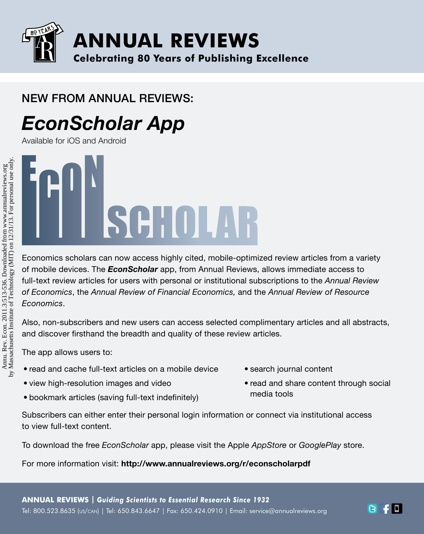

### New From Annual Reviews:

# *EconScholar App*

Available for iOS and Android



Economics scholars can now access highly cited, mobile-optimized review articles from a variety of mobile devices. The *EconScholar* app, from Annual Reviews, allows immediate access to full-text review articles for users with personal or institutional subscriptions to the *Annual Review of Economics*, the *Annual Review of Financial Economics,* and the *Annual Review of Resource Economics*.

Also, non-subscribers and new users can access selected complimentary articles and all abstracts, and discover firsthand the breadth and quality of these review articles.

The app allows users to:

- read and cache full-text articles on a mobile device
- view high-resolution images and video
- bookmark articles (saving full-text indefinitely)
- search journal content
- read and share content through social media tools

Subscribers can either enter their personal login information or connect via institutional access to view full-text content.

To download the free *EconScholar* app, please visit the Apple *AppStore* or *GooglePlay* store.

For more information visit: **<http://www.annualreviews.org/r/econscholarpdf>**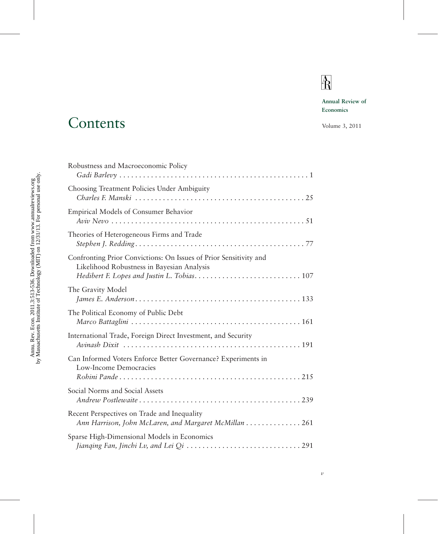# $\overline{\textbf{R}}$

 $\boldsymbol{\upsilon}$ 

Annual Review of Economics

## Contents

| Robustness and Macroeconomic Policy                                                                             |
|-----------------------------------------------------------------------------------------------------------------|
| Choosing Treatment Policies Under Ambiguity                                                                     |
| Empirical Models of Consumer Behavior                                                                           |
| Theories of Heterogeneous Firms and Trade                                                                       |
| Confronting Prior Convictions: On Issues of Prior Sensitivity and<br>Likelihood Robustness in Bayesian Analysis |
| The Gravity Model                                                                                               |
| The Political Economy of Public Debt                                                                            |
| International Trade, Foreign Direct Investment, and Security                                                    |
| Can Informed Voters Enforce Better Governance? Experiments in<br>Low-Income Democracies                         |
|                                                                                                                 |
| Social Norms and Social Assets                                                                                  |
| Recent Perspectives on Trade and Inequality<br>Ann Harrison, John McLaren, and Margaret McMillan 261            |
| Sparse High-Dimensional Models in Economics                                                                     |